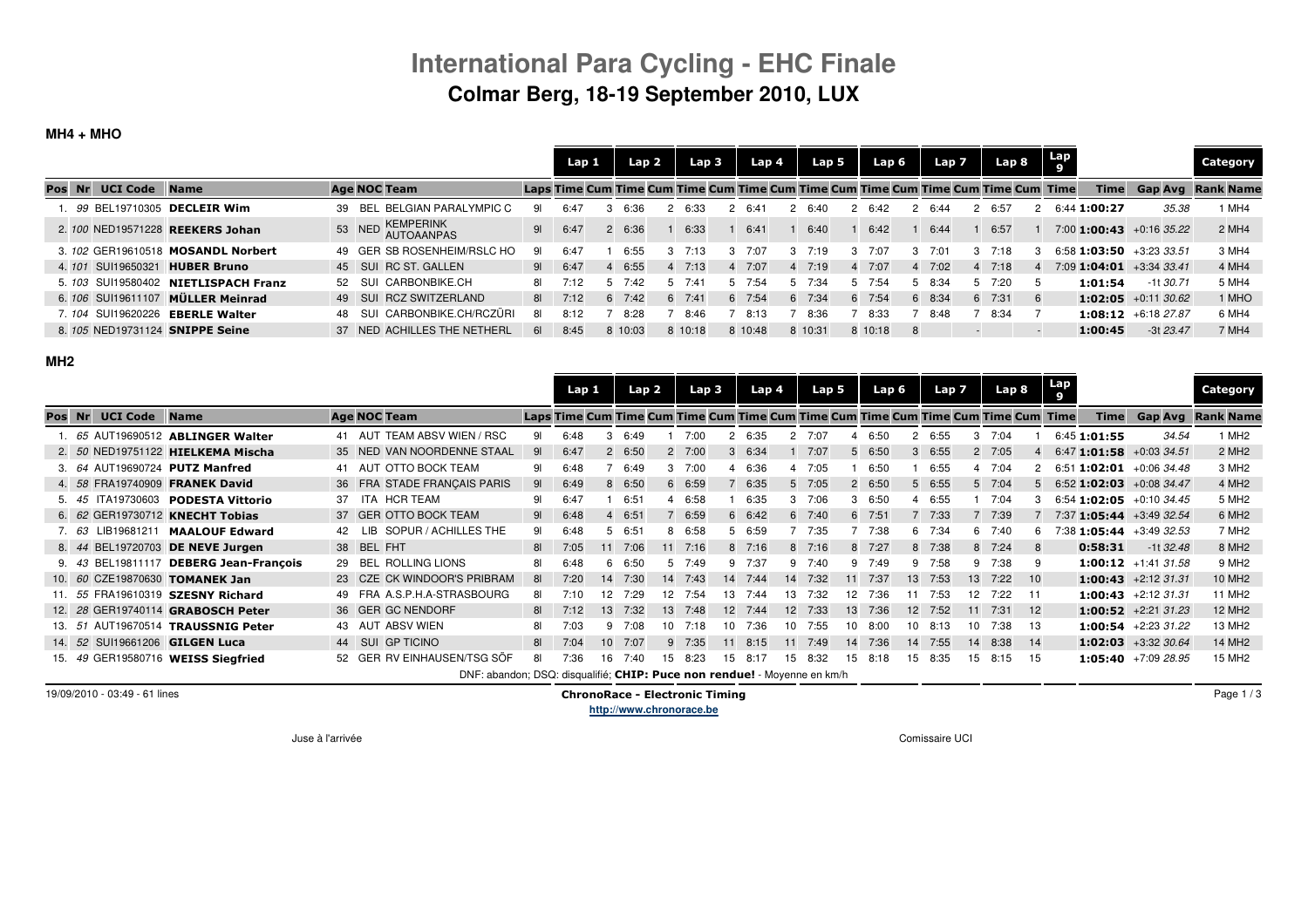## **International Para Cycling - EHC FinaleColmar Berg, 18-19 September 2010, LUX**

### **MH4 + MHO**

|        |                      |                                    |    |        |                                |                | Lap 1 | Lap 2   |    | Lap <sub>3</sub> |     | Lap 4          |   | Lap 5    |                | Lap 6                                                                             |    | Lap 7 |   | Lap 8  | Lap<br>9 |                                    |             | Category                 |
|--------|----------------------|------------------------------------|----|--------|--------------------------------|----------------|-------|---------|----|------------------|-----|----------------|---|----------|----------------|-----------------------------------------------------------------------------------|----|-------|---|--------|----------|------------------------------------|-------------|--------------------------|
| Pos Nr | <b>UCI Code</b> Name |                                    |    |        | <b>Age NOC Team</b>            |                |       |         |    |                  |     |                |   |          |                | Laps Time Cum Time Cum Time Cum Time Cum Time Cum Time Cum Time Cum Time Cum Time |    |       |   |        |          | Time                               |             | <b>Gap Avg Rank Name</b> |
|        |                      | . 99 BEL19710305 DECLEIR Wim       | 39 |        | BEL BELGIAN PARALYMPIC C       | 91             | 6:4   | 6:36    |    | 6:33             |     | 6.41           |   | 2 6፡40   |                | 2 6.42                                                                            |    | 6:44  |   | 2 6:57 | 2        | 6:44 1:00:27                       | 35.38       | MH4                      |
|        |                      | 2. 100 NED19571228 REEKERS Johan   |    |        | 53 NED KEMPERINK<br>AUTOAANPAS | 9 <sub>l</sub> | 6:47  | 6:36    |    | 6:33             |     | 6:41           |   | 6:40     |                | 6:42                                                                              |    | 6:44  |   | 6:57   |          | $7:00$ <b>1:00:43</b> + 0:16 35.22 |             | 2 MH4                    |
|        |                      | 3. 102 GER19610518 MOSANDL Norbert |    |        | 49 GER SB ROSENHEIM/RSLC HO    | 91             | 6:47  | 6:55    |    | 7.13             |     | 7.07           |   | 3, 7.19  | 3              | 7:07                                                                              |    | 7:01  | 3 | 7:18   |          | $6:58$ 1:03:50 $+3:23$ 33.51       |             | 3 MH4                    |
| 4.101  | SUI19650321          | <b>HUBER Bruno</b>                 |    |        | 45 SUI RC ST. GALLEN           | 91             | 6:47  | 6:55    |    | $4 \quad 7:13$   |     | $4 \quad 7:07$ |   | $4$ 7:19 | $\overline{4}$ | 7:07                                                                              | 4  | 7:02  |   | 4 7:18 |          | $7:09$ <b>1:04:01</b> +3:34 33.41  |             | 4 MH4                    |
| 5.103  |                      | SUI19580402 NIETLISPACH Franz      |    | 52 SUI | CARBONBIKE.CH                  | 81             | 7:12  | 7.42    |    | 7۰4۰             | 'n. | 7:54           | 5 | 7:34     | h              | 7.54                                                                              |    | 8:34  | 5 | 7.20   |          | 1:01:54                            | -1t 30.71   | 5 MH4                    |
|        |                      | 6. 106 SUI19611107 MÜLLER Meinrad  |    |        | 49 SUI RCZ SWITZERLAND         | 81 <b>B</b>    | 7:12  | 7:42    | 6. | 7:41             |     | 6 7:54         |   | 6 7:34   | 6              | 7:54                                                                              | 6  | 8:34  |   | 6 7:31 |          | 1:02:05 $+0.11$ 30.62              |             | 1 MHO                    |
| 7.104  | SUI19620226          | <b>EBERLE Walter</b>               |    | -SUI   | CARBONBIKE.CH/RCZÜRI           | 81             | 8:12  | 8:28    |    | 8.46             |     | 8:13           |   | 8:36     |                | 8:33                                                                              |    | 8.48  |   | 8:34   |          | 1:08:12 +6:18 27.87                |             | 6 MH4                    |
|        |                      | 8. 105 NED19731124 SNIPPE Seine    |    |        | 37 NED ACHILLES THE NETHERL    | 61             | 8:45  | 8 10:03 |    | 8 10:18          |     | 8 10:48        |   | 8 10:31  |                | 8 10:18                                                                           | -8 |       |   |        |          | 1:00:45                            | $-3t$ 23.47 | 7 MH4                    |

#### **MH2**

|          |         |                      |                                    |    |                                                                          |                | Lap 1 |                 | Lap 2  |                 |                | Lap <sub>3</sub> |                | Lap 4           |                | Lap 5            | Lap 6 |              | Lap 7  |                  | Lap 8                                                                             |      | Lap<br>9                     |                              | Category           |
|----------|---------|----------------------|------------------------------------|----|--------------------------------------------------------------------------|----------------|-------|-----------------|--------|-----------------|----------------|------------------|----------------|-----------------|----------------|------------------|-------|--------------|--------|------------------|-----------------------------------------------------------------------------------|------|------------------------------|------------------------------|--------------------|
| Pos Nr   |         | <b>UCI Code Name</b> |                                    |    | <b>Age NOC Team</b>                                                      |                |       |                 |        |                 |                |                  |                |                 |                |                  |       |              |        |                  | Laps Time Cum Time Cum Time Cum Time Cum Time Cum Time Cum Time Cum Time Cum Time |      | <b>Time</b>                  | Gap Avg                      | <b>Rank Name</b>   |
|          |         |                      | 1. 65 AUT19690512 ABLINGER Walter  |    | 41 AUT TEAM ABSV WIEN / RSC                                              | 91             | 6:48  | з               | 6:49   |                 | 7:00           | 2                | 6:35           |                 | 2 7:07         |                  | 6:50  |              | 2 6:55 | 3                | 7:04                                                                              |      | 6:45 1:01:55                 | 34.54                        | 1 MH <sub>2</sub>  |
|          |         |                      | 2. 50 NED19751122 HIELKEMA Mischa  |    | 35 NED VAN NOORDENNE STAAL                                               | 91             | 6:47  |                 | 2 6:50 |                 | $2 \quad 7:00$ |                  | 36:34          |                 | 7:07           | 5                | 6:50  | $\mathbf{3}$ | 6:55   |                  | 2 7:05                                                                            |      | $6:47$ 1:01:58 +0:03 34.51   |                              | 2 MH <sub>2</sub>  |
|          | 3.64    |                      | AUT19690724 PUTZ Manfred           |    | 41 AUT OTTO BOCK TEAM                                                    | 91             | 6:48  |                 | 6:49   |                 | $3$ 7:00       |                  | 4 6:36         |                 | 4 7:05         |                  | 6:50  |              | 6:55   |                  | 4 7:04                                                                            |      | $6:51$ 1:02:01 $+0:06$ 34.48 |                              | 3 MH <sub>2</sub>  |
|          | 4. 58   |                      | FRA19740909 FRANEK David           |    | 36 FRA STADE FRANCAIS PARIS                                              | 91             | 6:49  | 8               | 6:50   | 6               | 6:59           |                  | 6:35           |                 | $5$ 7:05       | $\overline{2}$   | 6:50  | 5.           | 6:55   |                  | 5 7:04                                                                            |      | $6:52$ 1:02:03 +0:08 34.47   |                              | 4 MH <sub>2</sub>  |
|          | 5. 45   |                      | ITA19730603 PODESTA Vittorio       | 37 | ITA HCR TEAM                                                             | 91             | 6:47  |                 | 6:51   |                 | 6:58           |                  | 6:35           |                 | $3 \quad 7:06$ | 3                | 6:50  | 4            | 6:55   |                  | 7:04                                                                              |      | $6:54$ 1:02:05 +0:10 34.45   |                              | 5 MH <sub>2</sub>  |
|          | 6. $62$ |                      | GER19730712 KNECHT Tobias          |    | 37 GER OTTO BOCK TEAM                                                    | 9 <sub>l</sub> | 6:48  |                 | 6:51   |                 | 6:59           | 6                | 6:42           |                 | 6 7:40         | 6                | 7:51  |              | 7:33   |                  | 7:39                                                                              |      | $7:37$ 1:05:44 +3:49 32.54   |                              | 6 MH <sub>2</sub>  |
|          | 7.63    | LIB19681211          | <b>MAALOUF Edward</b>              |    | SOPUR / ACHILLES THE<br>LIB.                                             | 91             | 6:48  |                 | 6:51   |                 | 6:58           |                  | 6:59           |                 | 7:35           |                  | 7:38  | 6            | 7:34   | 6                | 7:40                                                                              |      | 38 1:05:44 +3:49 32.53       |                              | 7 MH <sub>2</sub>  |
|          | 8. 44   |                      | BEL19720703 DE NEVE Jurgen         |    | 38 BEL FHT                                                               | 81             | 7:05  |                 | 7:06   | 11              | 7:16           |                  | $8 \quad 7:16$ |                 | $8 \quad 7:16$ | 8                | 7:27  | 8            | 7:38   |                  | 8 7:24                                                                            |      | 0:58:31                      | $-1132.48$                   | 8 MH <sub>2</sub>  |
|          | 9. 43   |                      | BEL19811117 DEBERG Jean-François   | 29 | <b>BEL ROLLING LIONS</b>                                                 | 81             | 6:48  | ĥ               | 6:50   |                 | 7:49           |                  | 9 7:37         |                 | $9 \t 7:40$    | 9                | 7:49  | 9            | 7:58   | 9                | 7:38                                                                              | 9    |                              | <b>1:00:12</b> $+1:41$ 31.58 | 9 MH <sub>2</sub>  |
|          |         |                      | 10. 60 CZE19870630 TOMANEK Jan     |    | 23 CZE CK WINDOOR'S PRIBRAM                                              | 81             | 7:20  | 14              | 7:30   | 14              | 7:43           |                  | 14 7:44        | 14              | 7:32           | 11               | 7:37  | 13           | 7:53   | 13               | 7:22                                                                              | 10   |                              | 1:00:43 +2:12 31.31          | 10 MH <sub>2</sub> |
| 11. $55$ |         |                      | FRA19610319 SZESNY Richard         |    | 49 FRA A.S.P.H.A-STRASBOURG                                              | 81             | 7:10  | 12              | 7:29   | 12              | 7:54           | 13               | 7:44           | 13              | 7:32           | 12 <sup>12</sup> | 7:36  |              | 7:53   | 12 <sup>12</sup> | 7:22                                                                              | - 11 |                              | $1:00:43$ +2:12 31.31        | 11 MH <sub>2</sub> |
|          |         |                      | 12. 28 GER19740114 GRABOSCH Peter  |    | 36 GER GC NENDORF                                                        | 81             | 7:12  | 13              | 7:32   | 13 <sup>1</sup> | 7:48           | 12 <sup>2</sup>  | 7:44           | 12 <sup>7</sup> | 7:33           | 13               | 7:36  | 12           | 7:52   | 11               | 7:31                                                                              | 12   |                              | $1:00:52$ +2:21 31.23        | 12 MH <sub>2</sub> |
| 13.51    |         |                      | AUT19670514 TRAUSSNIG Peter        |    | 43 AUT ABSV WIEN                                                         | 81             | 7:03  | q               | 7:08   | 10              | 7:18           | 10               | 7:36           | 10 <sup>1</sup> | 7:55           | 10               | 8:00  | 10           | 8:13   | 10               | 7:38                                                                              | 13   |                              | $1:00:54$ +2:23 31.22        | 13 MH2             |
| 14. 52   |         |                      | SUI19661206 GILGEN Luca            |    | 44 SUI<br><b>GP TICINO</b>                                               | 81             | 7:04  | 10 <sup>1</sup> | 7:07   | 9               | 7:35           | 11               | 8:15           | 11              | 7:49           | 14               | 7:36  | 14           | 7:55   | 14               | 8:38                                                                              | 14   |                              | $1:02:03$ +3:32 30.64        | 14 MH <sub>2</sub> |
|          |         |                      | 15. 49 GER19580716 WEISS Siegfried |    | 52 GER RV EINHAUSEN/TSG SÖF                                              | 81             | 7:36  | 16              | 7:40   | 15              | 8:23           | 15               | 8:17           | 15              | 8:32           | 15               | 8:18  | 15           | 8:35   | 15               | 8:15                                                                              | 15   |                              | $1:05:40$ +7:09 28.95        | 15 MH <sub>2</sub> |
|          |         |                      |                                    |    | DNF: abandon; DSQ: disqualifié; CHIP: Puce non rendue! - Movenne en km/h |                |       |                 |        |                 |                |                  |                |                 |                |                  |       |              |        |                  |                                                                                   |      |                              |                              |                    |

19/09/2010 - 03:49 - 61 lines

 ChronoRace - Electronic Timing **http://www.chronorace.be**

Page 1 / 3

Juse à l'arrivée Comissaire UCI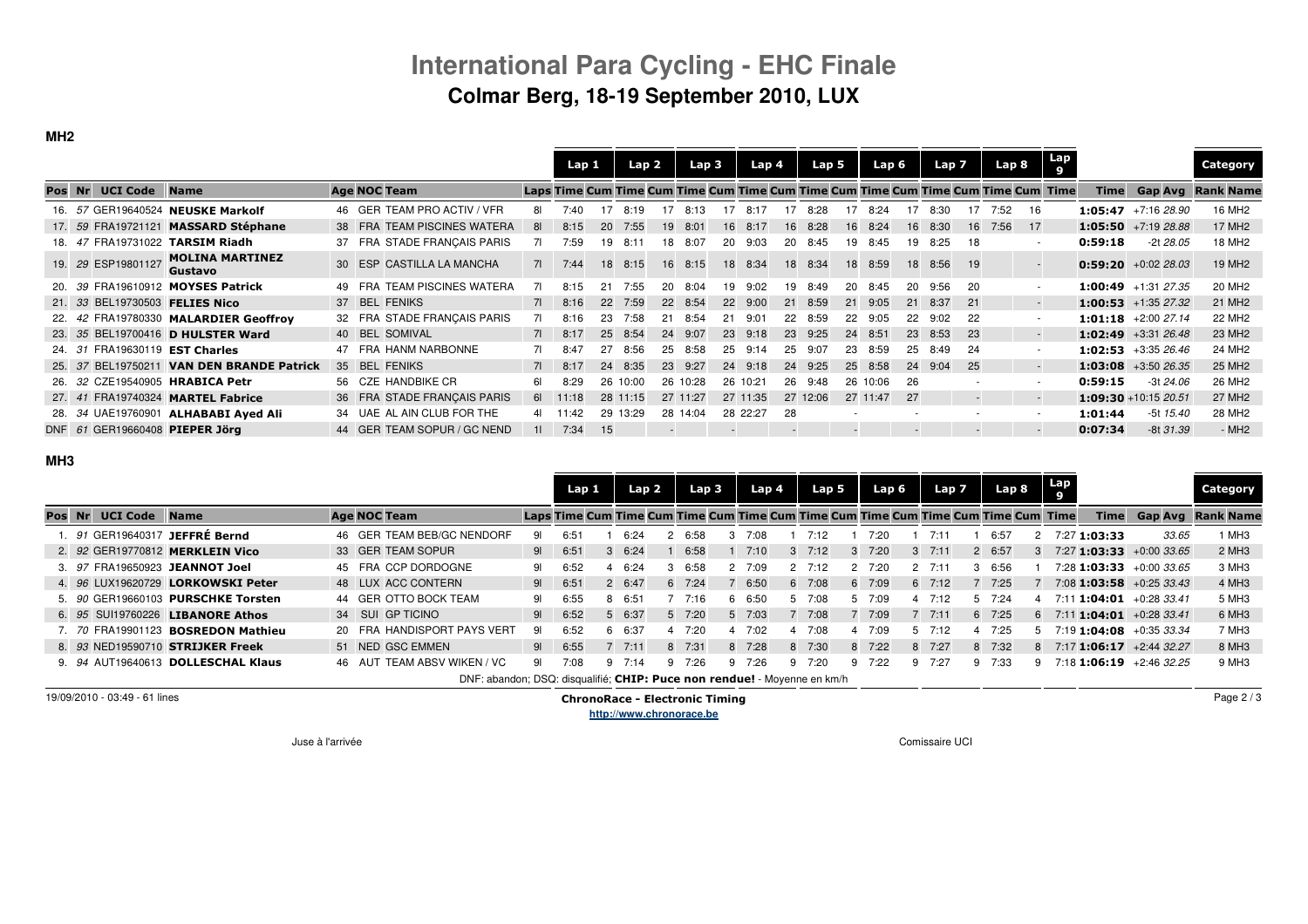# **International Para Cycling - EHC FinaleColmar Berg, 18-19 September 2010, LUX**

### **MH2**

|        |                      |                                           |     |                             |              | Lap 1 |      | Lap 2    |    | Lap <sub>3</sub> |                          | Lap 4    |     | Lap 5    |    | Lap 6    |    | Lap <sub>7</sub> |    | Lap 8                                                                             |    | Lap |         |                              | <b>Category</b>    |
|--------|----------------------|-------------------------------------------|-----|-----------------------------|--------------|-------|------|----------|----|------------------|--------------------------|----------|-----|----------|----|----------|----|------------------|----|-----------------------------------------------------------------------------------|----|-----|---------|------------------------------|--------------------|
| Pos Nr | <b>UCI Code Name</b> |                                           |     | <b>Age NOC Team</b>         |              |       |      |          |    |                  |                          |          |     |          |    |          |    |                  |    | Laps Time Cum Time Cum Time Cum Time Cum Time Cum Time Cum Time Cum Time Cum Time |    |     |         | Time Gap Avg                 | <b>Rank Name</b>   |
|        |                      | 16. 57 GER19640524 NEUSKE Markolf         |     | 46 GER TEAM PRO ACTIV / VFR |              | 7:40  |      | 8:19     |    | 8.13             |                          | 8:17     | 17. | 8.28     |    | 8.24     |    | -8:30            |    | 7:52                                                                              |    |     |         | 1:05:47 +7:16 28.90          | 16 MH <sub>2</sub> |
|        |                      | 17. 59 FRA19721121 MASSARD Stéphane       |     | 38 FRA TEAM PISCINES WATERA | 81           | 8:15  | 20   | 7:55     | 19 | 8:01             |                          | 16 8:17  | 16  | 8:28     | 16 | 8:24     | 16 | 8:30             | 16 | 7:56                                                                              | 17 |     |         | $1:05:50$ +7:19 28.88        | 17 MH <sub>2</sub> |
|        |                      | 18. 47 FRA19731022 TARSIM Riadh           |     | 37 FRA STADE FRANCAIS PARIS | 71           | 7:59  | 19   | 8:11     | 18 | 8:07             | 20                       | 9:03     | 20  | 8:45     | 19 | 8:45     | 19 | 8:25             | 18 |                                                                                   |    |     | 0:59:18 | $-2t$ 28.05                  | 18 MH <sub>2</sub> |
|        | 19. 29 ESP19801127   | <b>MOLINA MARTINEZ</b><br>Gustavo         |     | 30 ESP CASTILLA LA MANCHA   | 71           | 7:44  |      | 18 8:15  | 16 | 8:15             |                          | 18 8:34  |     | 18 8:34  | 18 | 8:59     | 18 | 8:56             | 19 |                                                                                   |    |     |         | <b>0:59:20</b> $+0.02$ 28.03 | 19 MH <sub>2</sub> |
|        |                      | 20. 39 FRA19610912 MOYSES Patrick         | FRA | <b>TEAM PISCINES WATERA</b> | 71.          | 8:15  | 21   | 7:55     | 20 | 8:04             | 19                       | 9:02     | 19. | 8:49     | 20 | 8:45     | 20 | 9:56             | 20 |                                                                                   |    |     |         | 1:00:49 $+1:31$ 27.35        | 20 MH <sub>2</sub> |
|        |                      | 21. 33 BEL19730503 FELIES Nico            |     | 37 BEL FENIKS               | 71 <b>12</b> | 8:16  | 22   | 7:59     |    | 22 8:54          | 22                       | 9:00     | 21  | 8:59     | 21 | 9:05     | 21 | 8:37             | 21 |                                                                                   |    |     |         | $1:00:53$ +1:35 27.32        | 21 MH <sub>2</sub> |
|        |                      | 22. 42 FRA19780330 MALARDIER Geoffroy     |     | 32 FRA STADE FRANCAIS PARIS | 71           | 8:16  | 23   | 7:58     | 21 | 8:54             | 21                       | 9:01     |     | 22 8:59  | 22 | 9:05     | 22 | 9:02             | 22 |                                                                                   |    |     |         | 1:01:18 $+2:0027.14$         | 22 MH <sub>2</sub> |
|        |                      | 23. 35 BEL19700416 D HULSTER Ward         |     | 40 BEL SOMIVAL              | 71           | 8:17  | 25   | 8:54     | 24 | 9:07             |                          | 23 9:18  | 23  | 9:25     | 24 | 8:51     | 23 | 8:53             | 23 |                                                                                   |    |     |         | $1:02:49$ +3:31 26.48        | 23 MH <sub>2</sub> |
|        |                      | 24. 31 FRA19630119 EST Charles            |     | 47 FRA HANM NARBONNE        | 71.          | 8:47  | 27   | 8:56     | 25 | 8:58             | 25                       | 9:14     | 25  | 9:07     | 23 | 8:59     | 25 | 8:49             | 24 |                                                                                   |    |     |         | $1:02:53$ +3:35 26.46        | 24 MH <sub>2</sub> |
|        |                      | 25. 37 BEL19750211 VAN DEN BRANDE Patrick |     | 35 BEL FENIKS               | 71           | 8:17  | 24   | 8:35     | 23 | 9:27             |                          | 24 9:18  | 24  | 9:25     | 25 | 8:58     | 24 | 9:04             | 25 |                                                                                   |    |     |         | <b>1:03:08</b> +3:50 26.35   | 25 MH <sub>2</sub> |
|        |                      | 26. 32 CZE19540905 HRABICA Petr           |     | 56 CZE HANDBIKE CR          | 61.          | 8:29  |      | 26 10:00 |    | 26 10:28         |                          | 26 10:21 |     | 26 9:48  |    | 26 10:06 | 26 |                  |    |                                                                                   |    |     | 0:59:15 | -3t 24.06                    | 26 MH <sub>2</sub> |
|        |                      | 27. 41 FRA19740324 MARTEL Fabrice         |     | 36 FRA STADE FRANCAIS PARIS | 61 <b>B</b>  | 11:18 |      | 28 11:15 |    | 27 11:27         |                          | 27 11:35 |     | 27 12:06 |    | 27 11:47 | 27 |                  |    |                                                                                   |    |     |         | 1:09:30 +10:15 20.51         | 27 MH <sub>2</sub> |
|        |                      | 28. 34 UAE19760901 ALHABABI Ayed Ali      |     | 34 UAE AL AIN CLUB FOR THE  | 41           | 11:42 |      | 29 13:29 |    | 28 14:04         |                          | 28 22:27 | 28  |          |    |          |    |                  |    |                                                                                   |    |     | 1:01:44 | -5t 15.40                    | 28 MH <sub>2</sub> |
|        |                      | DNF 61 GER19660408 PIEPER Jörg            |     | 44 GER TEAM SOPUR / GC NEND | 11           | 7:34  | - 15 |          |    |                  | $\overline{\phantom{0}}$ |          |     |          |    |          |    |                  |    |                                                                                   |    |     | 0:07:34 | $-8t$ 31.39                  | $-MH2$             |

#### **MH3**

|  |                      |                                           |                                                                          |                | Lap 1 | Lap <sub>2</sub> |   | Lap 3          |   | Lap 4  |   | Lap 5          |              | Lap 6                                                                             | Lap 7          |    | Lap 8       |   | Lap<br>9                           |         | Category            |
|--|----------------------|-------------------------------------------|--------------------------------------------------------------------------|----------------|-------|------------------|---|----------------|---|--------|---|----------------|--------------|-----------------------------------------------------------------------------------|----------------|----|-------------|---|------------------------------------|---------|---------------------|
|  | Pos Nr UCI Code Name |                                           | <b>Age NOC Team</b>                                                      |                |       |                  |   |                |   |        |   |                |              | Laps Time Cum Time Cum Time Cum Time Cum Time Cum Time Cum Time Cum Time Cum Time |                |    |             |   | <b>Time</b>                        | Gap Avg | <b>Rank Name</b>    |
|  |                      | 1. 91 GER19640317 JEFFRÉ Bernd            | 46 GER TEAM BEB/GC NENDORF                                               |                | 6:5   | 6:24             |   | 6:58           |   |        |   | 7.12           |              | 7:21                                                                              |                |    | 6:57        |   | 7:27 1:03:33                       | 33.65   | I MH3               |
|  |                      | 2. 92 GER19770812 MERKLEIN Vico           | 33 GER TEAM SOPUR                                                        | 9 <sub>l</sub> | 6:51  | 6:24             |   | 6:58           |   | 7:10   |   | $3 \quad 7:12$ | $\mathbf{3}$ | 7:20                                                                              | $3 \quad 7:11$ |    | 2 6:57      |   | $7:27$ 1:03:33 +0:00 33.65         |         | $2$ MH <sub>3</sub> |
|  |                      | 3. 97 FRA19650923 JEANNOT Joel            | 45 FRA CCP DORDOGNE                                                      | 91             | 6:52  | 6:24             |   | 6:58           | 2 | 7.09   |   | $2 \quad 7:12$ |              | 2, 7:20                                                                           | 2, 7:11        | 3  | 6:56        |   | $7:28$ 1:03:33 +0:00 33.65         |         | 3 MH3               |
|  |                      | 4. 96 LUX19620729 LORKOWSKI Peter         | 48 LUX ACC CONTERN                                                       | 91             | 6:51  | $2 \quad 6:47$   |   | $6 \quad 7:24$ |   | 6:50   |   | $6 \quad 7:08$ |              | 6 7:09                                                                            | $6 \quad 7:12$ |    | 7.7:25      |   | $7:08$ <b>1:03:58</b> +0:25 33.43  |         | 4 MH <sub>3</sub>   |
|  |                      | 5. 90 GER19660103 PURSCHKE Torsten        | 44 GER OTTO BOCK TEAM                                                    | 91             | 6:55  | 6:51             |   | 7.16           | 6 | 6:50   |   | $5 \quad 7:08$ | 5.           | 7:09                                                                              | 7.12           | .5 | 7:24        |   | $7:11$ <b>1:04:01</b> +0:28 33.41  |         | 5 MH <sub>3</sub>   |
|  |                      | 6. 95 SUI19760226 LIBANORE Athos          | 34 SUI GP TICINO                                                         | 91             | 6:52  | 6:37             |   | $5 \quad 7:20$ |   | 5 7:03 |   | 7:08           |              | 7:09                                                                              | 7:11           |    | 6 7:25      |   | 6 7:11 <b>1:04:01</b> +0:28 33.41  |         | 6 MH <sub>3</sub>   |
|  |                      | 7. 70 FRA19901123 <b>BOSREDON Mathieu</b> | 20 FRA HANDISPORT PAYS VERT                                              | 91             | 6:52  | 6:37             |   | 7:20           | 4 | 7.02   |   | 7:08           |              | 7:09                                                                              | $5 \t 7:12$    |    | 4 7:25      |   | $7:19$ <b>1:04:08</b> + 0:35 33.34 |         | 7 MH3               |
|  |                      | 8. 93 NED19590710 STRIJKER Freek          | 51 NED GSC EMMEN                                                         | 91             | 6:55  | 7:11             |   | 8 7:31         |   | 8 7:28 |   | 8 7:30         |              | 8 7:22                                                                            | 8 7:27         |    | 8 7:32      | 8 | 7:17 1:06:17 +2:44 32.27           |         | 8 MH <sub>3</sub>   |
|  |                      | 9. 94 AUT19640613 DOLLESCHAL Klaus        | 46 AUT TEAM ABSV WIKEN / VC                                              | 91             | 7:08  | 7.14             | q | 7:26           | 9 | 7:26   | q | 7:20           | q            | 7:22<br>q                                                                         | 7:27           |    | $9 \t 7:33$ |   | $7:18$ <b>1:06:19</b> +2:46 32.25  |         | 9 MH <sub>3</sub>   |
|  |                      |                                           | DNF: abandon; DSQ: disqualifié; CHIP: Puce non rendue! - Moyenne en km/h |                |       |                  |   |                |   |        |   |                |              |                                                                                   |                |    |             |   |                                    |         |                     |

19/09/2010 - 03:49 - 61 lines

 ChronoRace - Electronic Timing **http://www.chronorace.be**

Page 2 / 3

Juse à l'arrivée Comissaire UCI